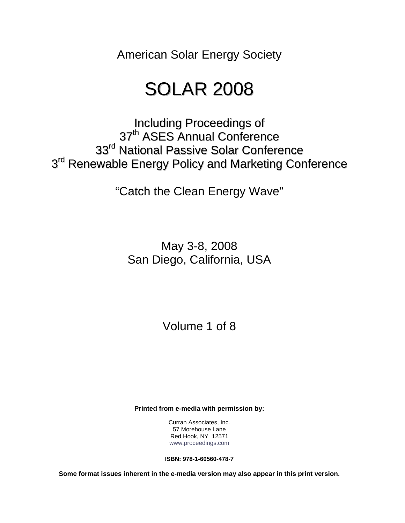American Solar Energy Society

# SOLAR 2008

Including Proceedings of 37<sup>th</sup> ASES Annual Conference 33<sup>rd</sup> National Passive Solar Conference 3<sup>rd</sup> Renewable Energy Policy and Marketing Conference

"Catch the Clean Energy Wave"

May 3-8, 2008 San Diego, California, USA

Volume 1 of 8

**Printed from e-media with permission by:** 

Curran Associates, Inc. 57 Morehouse Lane Red Hook, NY 12571 [www.proceedings.com](http://www.proceedings.com/)

**ISBN: 978-1-60560-478-7** 

**Some format issues inherent in the e-media version may also appear in this print version.**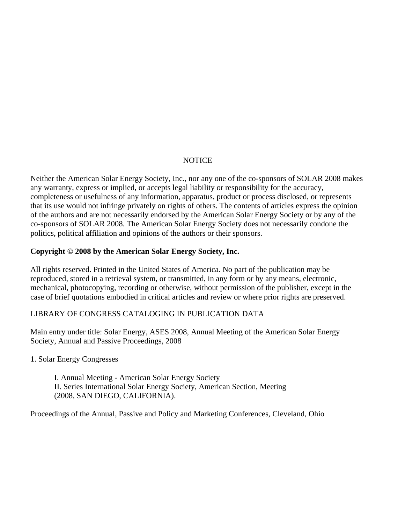#### NOTICE

Neither the American Solar Energy Society, Inc., nor any one of the co-sponsors of SOLAR 2008 makes any warranty, express or implied, or accepts legal liability or responsibility for the accuracy, completeness or usefulness of any information, apparatus, product or process disclosed, or represents that its use would not infringe privately on rights of others. The contents of articles express the opinion of the authors and are not necessarily endorsed by the American Solar Energy Society or by any of the co-sponsors of SOLAR 2008. The American Solar Energy Society does not necessarily condone the politics, political affiliation and opinions of the authors or their sponsors.

#### **Copyright © 2008 by the American Solar Energy Society, Inc.**

All rights reserved. Printed in the United States of America. No part of the publication may be reproduced, stored in a retrieval system, or transmitted, in any form or by any means, electronic, mechanical, photocopying, recording or otherwise, without permission of the publisher, except in the case of brief quotations embodied in critical articles and review or where prior rights are preserved.

#### LIBRARY OF CONGRESS CATALOGING IN PUBLICATION DATA

Main entry under title: Solar Energy, ASES 2008, Annual Meeting of the American Solar Energy Society, Annual and Passive Proceedings, 2008

#### 1. Solar Energy Congresses

I. Annual Meeting - American Solar Energy Society II. Series International Solar Energy Society, American Section, Meeting (2008, SAN DIEGO, CALIFORNIA).

Proceedings of the Annual, Passive and Policy and Marketing Conferences, Cleveland, Ohio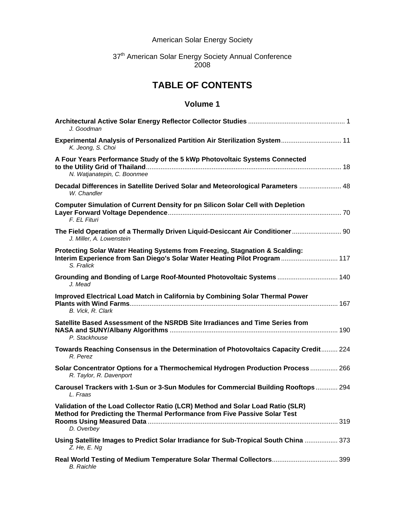#### American Solar Energy Society

#### 37<sup>th</sup> American Solar Energy Society Annual Conference 2008

# **TABLE OF CONTENTS**

| J. Goodman                                                                                                                                                                 |
|----------------------------------------------------------------------------------------------------------------------------------------------------------------------------|
| Experimental Analysis of Personalized Partition Air Sterilization System 11<br>K. Jeong, S. Choi                                                                           |
| A Four Years Performance Study of the 5 kWp Photovoltaic Systems Connected<br>N. Watjanatepin, C. Boonmee                                                                  |
| Decadal Differences in Satellite Derived Solar and Meteorological Parameters  48<br>W. Chandler                                                                            |
| <b>Computer Simulation of Current Density for pn Silicon Solar Cell with Depletion</b><br>F. EL Fituri                                                                     |
| The Field Operation of a Thermally Driven Liquid-Desiccant Air Conditioner  90<br>J. Miller, A. Lowenstein                                                                 |
| Protecting Solar Water Heating Systems from Freezing, Stagnation & Scalding:<br>Interim Experience from San Diego's Solar Water Heating Pilot Program  117<br>S. Fralick   |
| Grounding and Bonding of Large Roof-Mounted Photovoltaic Systems  140<br>J. Mead                                                                                           |
| Improved Electrical Load Match in California by Combining Solar Thermal Power<br>B. Vick, R. Clark                                                                         |
| Satellite Based Assessment of the NSRDB Site Irradiances and Time Series from<br>P. Stackhouse                                                                             |
| Towards Reaching Consensus in the Determination of Photovoltaics Capacity Credit 224<br>R. Perez                                                                           |
| Solar Concentrator Options for a Thermochemical Hydrogen Production Process  266<br>R. Taylor, R. Davenport                                                                |
| Carousel Trackers with 1-Sun or 3-Sun Modules for Commercial Building Rooftops 294<br>L. Fraas                                                                             |
| Validation of the Load Collector Ratio (LCR) Method and Solar Load Ratio (SLR)<br>Method for Predicting the Thermal Performance from Five Passive Solar Test<br>D. Overbey |
| Using Satellite Images to Predict Solar Irradiance for Sub-Tropical South China  373<br>$Z.$ He, $E.$ Ng                                                                   |
| Real World Testing of Medium Temperature Solar Thermal Collectors 399<br><b>B.</b> Raichle                                                                                 |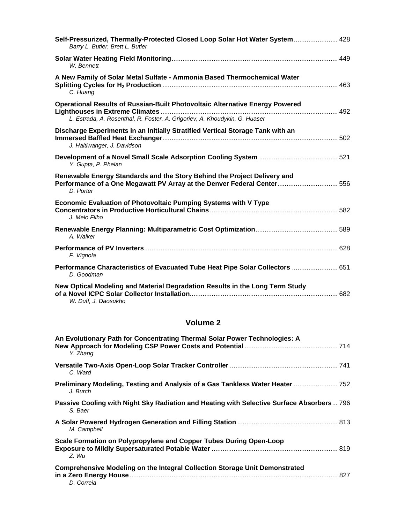| Self-Pressurized, Thermally-Protected Closed Loop Solar Hot Water System 428<br>Barry L. Butler, Brett L. Butler                                                  |  |
|-------------------------------------------------------------------------------------------------------------------------------------------------------------------|--|
| W. Bennett                                                                                                                                                        |  |
| A New Family of Solar Metal Sulfate - Ammonia Based Thermochemical Water<br>C. Huang                                                                              |  |
| <b>Operational Results of Russian-Built Photovoltaic Alternative Energy Powered</b><br>L. Estrada, A. Rosenthal, R. Foster, A. Grigoriev, A. Khoudykin, G. Huaser |  |
| Discharge Experiments in an Initially Stratified Vertical Storage Tank with an<br>J. Haltiwanger, J. Davidson                                                     |  |
| Y. Gupta, P. Phelan                                                                                                                                               |  |
| Renewable Energy Standards and the Story Behind the Project Delivery and<br>Performance of a One Megawatt PV Array at the Denver Federal Center 556<br>D. Porter  |  |
| Economic Evaluation of Photovoltaic Pumping Systems with V Type<br>J. Melo Filho                                                                                  |  |
| A. Walker                                                                                                                                                         |  |
| F. Vignola                                                                                                                                                        |  |
| Performance Characteristics of Evacuated Tube Heat Pipe Solar Collectors  651<br>D. Goodman                                                                       |  |
| New Optical Modeling and Material Degradation Results in the Long Term Study<br>W. Duff, J. Daosukho                                                              |  |

| An Evolutionary Path for Concentrating Thermal Solar Power Technologies: A<br>Y. Zhang               |  |
|------------------------------------------------------------------------------------------------------|--|
| C. Ward                                                                                              |  |
| Preliminary Modeling, Testing and Analysis of a Gas Tankless Water Heater  752<br>J. Burch           |  |
| Passive Cooling with Night Sky Radiation and Heating with Selective Surface Absorbers 796<br>S. Baer |  |
| M. Campbell                                                                                          |  |
| Scale Formation on Polypropylene and Copper Tubes During Open-Loop<br>Z. Wu                          |  |
| <b>Comprehensive Modeling on the Integral Collection Storage Unit Demonstrated</b><br>D. Correia     |  |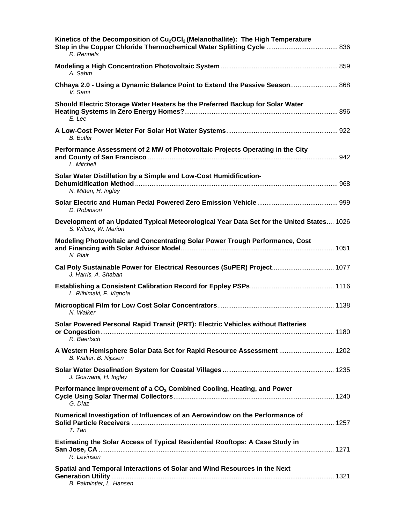| Kinetics of the Decomposition of Cu <sub>2</sub> OCI <sub>2</sub> (Melanothallite): The High Temperature<br>Step in the Copper Chloride Thermochemical Water Splitting Cycle  836<br>R. Rennels |
|-------------------------------------------------------------------------------------------------------------------------------------------------------------------------------------------------|
| A. Sahm                                                                                                                                                                                         |
| Chhaya 2.0 - Using a Dynamic Balance Point to Extend the Passive Season 868<br>V. Sami                                                                                                          |
| Should Electric Storage Water Heaters be the Preferred Backup for Solar Water<br>E. Lee                                                                                                         |
| B. Butler                                                                                                                                                                                       |
| Performance Assessment of 2 MW of Photovoltaic Projects Operating in the City<br>L. Mitchell                                                                                                    |
| Solar Water Distillation by a Simple and Low-Cost Humidification-<br>N. Mitten, H. Ingley                                                                                                       |
| D. Robinson                                                                                                                                                                                     |
| Development of an Updated Typical Meteorological Year Data Set for the United States 1026<br>S. Wilcox, W. Marion                                                                               |
| Modeling Photovoltaic and Concentrating Solar Power Trough Performance, Cost<br>N. Blair                                                                                                        |
| Cal Poly Sustainable Power for Electrical Resources (SuPER) Project 1077<br>J. Harris, A. Shaban                                                                                                |
| L. Riihimaki, F. Vignola                                                                                                                                                                        |
| N. Walker                                                                                                                                                                                       |
| Solar Powered Personal Rapid Transit (PRT): Electric Vehicles without Batteries<br>1180<br>R. Baertsch                                                                                          |
| A Western Hemisphere Solar Data Set for Rapid Resource Assessment  1202<br>B. Walter, B. Nijssen                                                                                                |
| J. Goswami, H. Ingley                                                                                                                                                                           |
| Performance Improvement of a CO <sub>2</sub> Combined Cooling, Heating, and Power<br>G. Diaz                                                                                                    |
| Numerical Investigation of Influences of an Aerowindow on the Performance of<br>T. Tan                                                                                                          |
| <b>Estimating the Solar Access of Typical Residential Rooftops: A Case Study in</b><br>R. Levinson                                                                                              |
| Spatial and Temporal Interactions of Solar and Wind Resources in the Next<br>B. Palmintier, L. Hansen                                                                                           |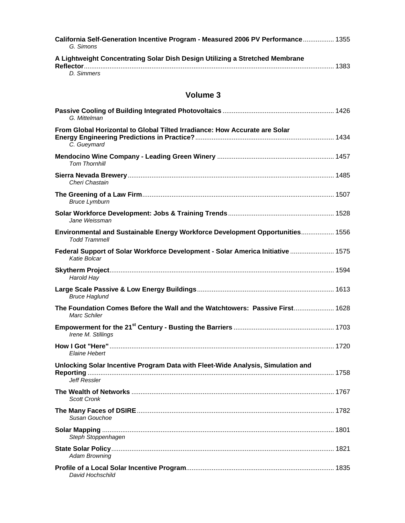| California Self-Generation Incentive Program - Measured 2006 PV Performance 1355<br>G. Simons |  |
|-----------------------------------------------------------------------------------------------|--|
| A Lightweight Concentrating Solar Dish Design Utilizing a Stretched Membrane                  |  |
| D. Simmers                                                                                    |  |

| G. Mittelman                                                                                    |  |
|-------------------------------------------------------------------------------------------------|--|
| From Global Horizontal to Global Tilted Irradiance: How Accurate are Solar<br>C. Gueymard       |  |
| <b>Tom Thornhill</b>                                                                            |  |
| Cheri Chastain                                                                                  |  |
| <b>Bruce Lymburn</b>                                                                            |  |
| Jane Weissman                                                                                   |  |
| Environmental and Sustainable Energy Workforce Development Opportunities 1556<br>Todd Trammell  |  |
| Federal Support of Solar Workforce Development - Solar America Initiative  1575<br>Katie Bolcar |  |
| Harold Hay                                                                                      |  |
| <b>Bruce Haglund</b>                                                                            |  |
| The Foundation Comes Before the Wall and the Watchtowers: Passive First 1628<br>Marc Schiler    |  |
| Irene M. Stillings                                                                              |  |
| Elaine Hebert                                                                                   |  |
| Unlocking Solar Incentive Program Data with Fleet-Wide Analysis, Simulation and<br>Jeff Ressler |  |
| <b>Scott Cronk</b>                                                                              |  |
| Susan Gouchoe                                                                                   |  |
| Steph Stoppenhagen                                                                              |  |
| <b>Adam Browning</b>                                                                            |  |
| David Hochschild                                                                                |  |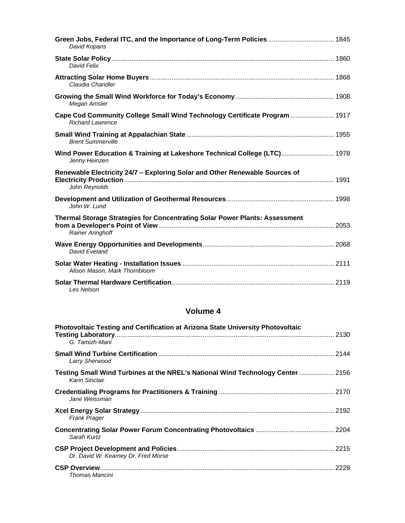| Green Jobs, Federal ITC, and the Importance of Long-Term Policies  1845<br>David Kopans                |
|--------------------------------------------------------------------------------------------------------|
| David Felix                                                                                            |
| Claudia Chandler                                                                                       |
| Megan Amsler                                                                                           |
| Cape Cod Community College Small Wind Technology Certificate Program  1917<br><b>Richard Lawrence</b>  |
| <b>Brent Summerville</b>                                                                               |
| Wind Power Education & Training at Lakeshore Technical College (LTC) 1978<br>Jenny Heinzen             |
| Renewable Electricity 24/7 - Exploring Solar and Other Renewable Sources of<br>John Reynolds           |
| John W. Lund                                                                                           |
| Thermal Storage Strategies for Concentrating Solar Power Plants: Assessment<br><b>Rainer Aringhoff</b> |
| David Fveland                                                                                          |
| Alison Mason, Mark Thornbloom                                                                          |
| Les Nelson                                                                                             |

| Photovoltaic Testing and Certification at Arizona State University Photovoltaic<br>G. Tamizh-Mani |  |
|---------------------------------------------------------------------------------------------------|--|
| Larry Sherwood                                                                                    |  |
| Testing Small Wind Turbines at the NREL's National Wind Technology Center  2156<br>Karin Sinclair |  |
| Jane Weissman                                                                                     |  |
| <b>Frank Prager</b>                                                                               |  |
| Sarah Kurtz                                                                                       |  |
| Dr. David W. Kearney Dr. Fred Morse                                                               |  |
| Thomas Mancini                                                                                    |  |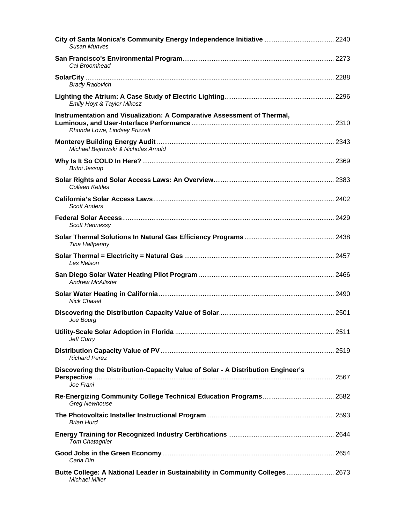| City of Santa Monica's Community Energy Independence Initiative  2240<br>Susan Munves                    |  |
|----------------------------------------------------------------------------------------------------------|--|
| Cal Broomhead                                                                                            |  |
| <b>Brady Radovich</b>                                                                                    |  |
| Emily Hoyt & Taylor Mikosz                                                                               |  |
| Instrumentation and Visualization: A Comparative Assessment of Thermal,<br>Rhonda Lowe, Lindsey Frizzell |  |
| Michael Bejrowski & Nicholas Arnold                                                                      |  |
| <b>Britni Jessup</b>                                                                                     |  |
| <b>Colleen Kettles</b>                                                                                   |  |
| <b>Scott Anders</b>                                                                                      |  |
| Scott Hennessv                                                                                           |  |
| Tina Halfpenny                                                                                           |  |
| Les Nelson                                                                                               |  |
| <b>Andrew McAllister</b>                                                                                 |  |
| <b>Nick Chaset</b>                                                                                       |  |
| Joe Bourg                                                                                                |  |
| Jeff Curry                                                                                               |  |
| <b>Richard Perez</b>                                                                                     |  |
| Discovering the Distribution-Capacity Value of Solar - A Distribution Engineer's<br>Joe Frani            |  |
| <b>Greg Newhouse</b>                                                                                     |  |
| <b>Brian Hurd</b>                                                                                        |  |
| <b>Tom Chatagnier</b>                                                                                    |  |
| Carla Din                                                                                                |  |
| Butte College: A National Leader in Sustainability in Community Colleges 2673<br>Michael Miller          |  |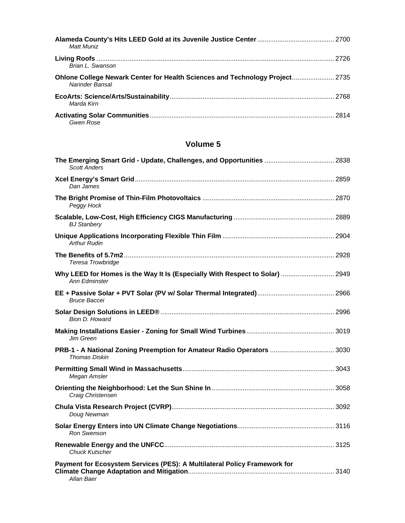| <b>Matt Muniz</b>                                                                               |  |
|-------------------------------------------------------------------------------------------------|--|
| Brian L. Swanson                                                                                |  |
| Ohlone College Newark Center for Health Sciences and Technology Project 2735<br>Narinder Bansal |  |
| Marda Kirn                                                                                      |  |
| Gwen Rose                                                                                       |  |

| The Emerging Smart Grid - Update, Challenges, and Opportunities  2838<br><b>Scott Anders</b>         |  |
|------------------------------------------------------------------------------------------------------|--|
| Dan James                                                                                            |  |
| Peggy Hock                                                                                           |  |
| <b>BJ</b> Stanbery                                                                                   |  |
| Arthur Rudin                                                                                         |  |
| Teresa Trowbridge                                                                                    |  |
| Why LEED for Homes is the Way It Is (Especially With Respect to Solar)  2949<br><b>Ann Edminster</b> |  |
| Bruce Baccei                                                                                         |  |
| Bion D. Howard                                                                                       |  |
| Jim Green                                                                                            |  |
| PRB-1 - A National Zoning Preemption for Amateur Radio Operators  3030<br><b>Thomas Diskin</b>       |  |
| Megan Amsler                                                                                         |  |
| Craig Christensen                                                                                    |  |
| Doug Newman                                                                                          |  |
| Ron Swenson                                                                                          |  |
| <b>Chuck Kutscher</b>                                                                                |  |
| Payment for Ecosystem Services (PES): A Multilateral Policy Framework for<br>Allan Baer              |  |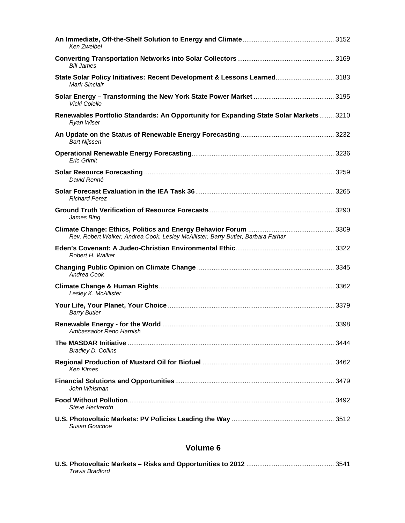| Ken Zweibel                                                                                         |  |
|-----------------------------------------------------------------------------------------------------|--|
| <b>Bill James</b>                                                                                   |  |
| State Solar Policy Initiatives: Recent Development & Lessons Learned 3183<br><b>Mark Sinclair</b>   |  |
| Vicki Colello                                                                                       |  |
| Renewables Portfolio Standards: An Opportunity for Expanding State Solar Markets 3210<br>Ryan Wiser |  |
| <b>Bart Nijssen</b>                                                                                 |  |
| <b>Eric Grimit</b>                                                                                  |  |
| David Renné                                                                                         |  |
| <b>Richard Perez</b>                                                                                |  |
| James Bing                                                                                          |  |
| Rev. Robert Walker, Andrea Cook, Lesley McAllister, Barry Butler, Barbara Farhar                    |  |
| Robert H. Walker                                                                                    |  |
| Andrea Cook                                                                                         |  |
| Lesley K. McAllister                                                                                |  |
| <b>Barry Butler</b>                                                                                 |  |
| Ambassador Reno Harnish                                                                             |  |
| <b>Bradley D. Collins</b>                                                                           |  |
| Ken Kimes                                                                                           |  |
| John Whisman                                                                                        |  |
| Steve Heckeroth                                                                                     |  |
| Susan Gouchoe                                                                                       |  |

| Travis Bradford |  |
|-----------------|--|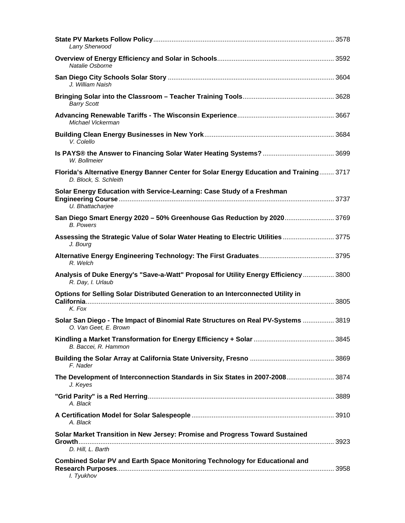| Larry Sherwood                                                                                                   |  |
|------------------------------------------------------------------------------------------------------------------|--|
| Natalie Osborne                                                                                                  |  |
| J. William Naish                                                                                                 |  |
| <b>Barry Scott</b>                                                                                               |  |
| Michael Vickerman                                                                                                |  |
| V. Colello                                                                                                       |  |
| W. Bollmeier                                                                                                     |  |
| Florida's Alternative Energy Banner Center for Solar Energy Education and Training 3717<br>D. Block, S. Schleith |  |
| Solar Energy Education with Service-Learning: Case Study of a Freshman<br>U. Bhattacharjee                       |  |
| San Diego Smart Energy 2020 - 50% Greenhouse Gas Reduction by 2020 3769<br><b>B.</b> Powers                      |  |
| Assessing the Strategic Value of Solar Water Heating to Electric Utilities  3775<br>J. Bourg                     |  |
| R. Welch                                                                                                         |  |
| Analysis of Duke Energy's "Save-a-Watt" Proposal for Utility Energy Efficiency  3800<br>R. Day, I. Urlaub        |  |
| Options for Selling Solar Distributed Generation to an Interconnected Utility in<br>K. Fox                       |  |
| Solar San Diego - The Impact of Binomial Rate Structures on Real PV-Systems  3819<br>O. Van Geet, E. Brown       |  |
| B. Baccei, R. Hammon                                                                                             |  |
| F. Nader                                                                                                         |  |
| The Development of Interconnection Standards in Six States in 2007-2008 3874<br>J. Keyes                         |  |
| A. Black                                                                                                         |  |
| A. Black                                                                                                         |  |
| Solar Market Transition in New Jersey: Promise and Progress Toward Sustained<br>D. Hill, L. Barth                |  |
| <b>Combined Solar PV and Earth Space Monitoring Technology for Educational and</b><br>I. Tyukhov                 |  |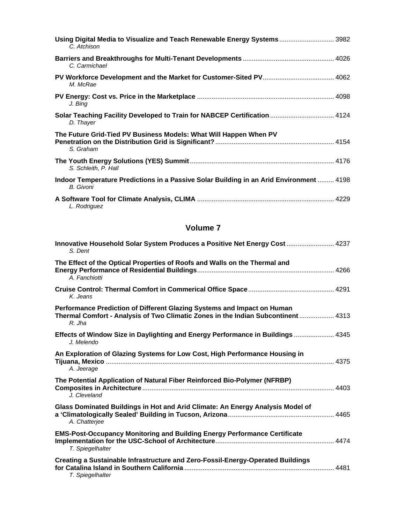| Using Digital Media to Visualize and Teach Renewable Energy Systems 3982<br>C. Atchison              |  |
|------------------------------------------------------------------------------------------------------|--|
| C. Carmichael                                                                                        |  |
| M. McRae                                                                                             |  |
| J. Bing                                                                                              |  |
| Solar Teaching Facility Developed to Train for NABCEP Certification  4124<br>D. Thayer               |  |
| The Future Grid-Tied PV Business Models: What Will Happen When PV<br>S. Graham                       |  |
| S. Schleith, P. Hall                                                                                 |  |
| Indoor Temperature Predictions in a Passive Solar Building in an Arid Environment  4198<br>B. Givoni |  |
| L. Rodriguez                                                                                         |  |

| Innovative Household Solar System Produces a Positive Net Energy Cost  4237<br>S. Dent                                                                                 |  |
|------------------------------------------------------------------------------------------------------------------------------------------------------------------------|--|
| The Effect of the Optical Properties of Roofs and Walls on the Thermal and<br>A. Fanchiotti                                                                            |  |
| K. Jeans                                                                                                                                                               |  |
| Performance Prediction of Different Glazing Systems and Impact on Human<br>Thermal Comfort - Analysis of Two Climatic Zones in the Indian Subcontinent  4313<br>R. Jha |  |
| Effects of Window Size in Daylighting and Energy Performance in Buildings  4345<br>J. Melendo                                                                          |  |
| An Exploration of Glazing Systems for Low Cost, High Performance Housing in<br>A. Jeerage                                                                              |  |
| The Potential Application of Natural Fiber Reinforced Bio-Polymer (NFRBP)<br>J. Cleveland                                                                              |  |
| Glass Dominated Buildings in Hot and Arid Climate: An Energy Analysis Model of<br>A. Chatterjee                                                                        |  |
| <b>EMS-Post-Occupancy Monitoring and Building Energy Performance Certificate</b><br>T. Spiegelhalter                                                                   |  |
| Creating a Sustainable Infrastructure and Zero-Fossil-Energy-Operated Buildings<br>T. Spiegelhalter                                                                    |  |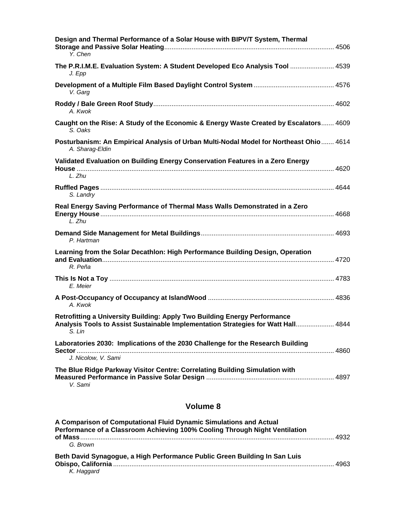| Design and Thermal Performance of a Solar House with BIPV/T System, Thermal<br>Y. Chen                                                                                   |
|--------------------------------------------------------------------------------------------------------------------------------------------------------------------------|
| The P.R.I.M.E. Evaluation System: A Student Developed Eco Analysis Tool  4539<br>J. Epp                                                                                  |
| V. Garg                                                                                                                                                                  |
| A. Kwok                                                                                                                                                                  |
| Caught on the Rise: A Study of the Economic & Energy Waste Created by Escalators 4609<br>S. Oaks                                                                         |
| Posturbanism: An Empirical Analysis of Urban Multi-Nodal Model for Northeast Ohio 4614<br>A. Sharag-Eldin                                                                |
| Validated Evaluation on Building Energy Conservation Features in a Zero Energy<br>L. Zhu                                                                                 |
| S. Landry                                                                                                                                                                |
| Real Energy Saving Performance of Thermal Mass Walls Demonstrated in a Zero<br>L. Zhu                                                                                    |
| P. Hartman                                                                                                                                                               |
| Learning from the Solar Decathlon: High Performance Building Design, Operation<br>R. Peña                                                                                |
| E. Meier                                                                                                                                                                 |
| A. Kwok                                                                                                                                                                  |
| Retrofitting a University Building: Apply Two Building Energy Performance<br>Analysis Tools to Assist Sustainable Implementation Strategies for Watt Hall 4844<br>S. LIN |
| Laboratories 2030: Implications of the 2030 Challenge for the Research Building<br>Sector …….                                                                            |
| J. Nicolow, V. Sami<br>The Blue Ridge Parkway Visitor Centre: Correlating Building Simulation with                                                                       |
| V. Sami                                                                                                                                                                  |

| A Comparison of Computational Fluid Dynamic Simulations and Actual<br>Performance of a Classroom Achieving 100% Cooling Through Night Ventilation |      |
|---------------------------------------------------------------------------------------------------------------------------------------------------|------|
| G. Brown                                                                                                                                          |      |
| Beth David Synagogue, a High Performance Public Green Building In San Luis<br>K. Haggard                                                          | 4963 |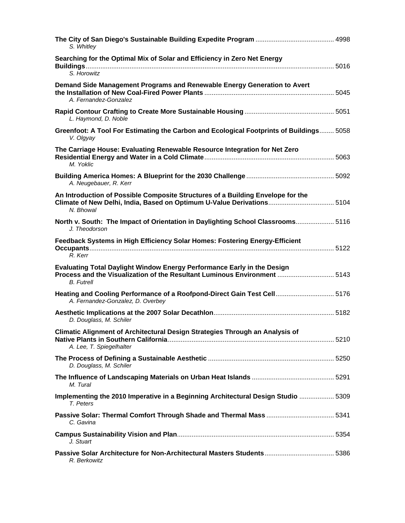| S. Whitley                                                                                                                                                                       |  |
|----------------------------------------------------------------------------------------------------------------------------------------------------------------------------------|--|
| Searching for the Optimal Mix of Solar and Efficiency in Zero Net Energy<br>S. Horowitz                                                                                          |  |
| Demand Side Management Programs and Renewable Energy Generation to Avert<br>A. Fernandez-Gonzalez                                                                                |  |
| L. Haymond, D. Noble                                                                                                                                                             |  |
| Greenfoot: A Tool For Estimating the Carbon and Ecological Footprints of Buildings 5058<br>V. Olgyay                                                                             |  |
| The Carriage House: Evaluating Renewable Resource Integration for Net Zero<br>M. Yoklic                                                                                          |  |
| A. Neugebauer, R. Kerr                                                                                                                                                           |  |
| An Introduction of Possible Composite Structures of a Building Envelope for the<br>Climate of New Delhi, India, Based on Optimum U-Value Derivations 5104<br>N. Bhowal           |  |
| North v. South: The Impact of Orientation in Daylighting School Classrooms 5116<br>J. Theodorson                                                                                 |  |
| Feedback Systems in High Efficiency Solar Homes: Fostering Energy-Efficient<br>R. Kerr                                                                                           |  |
| <b>Evaluating Total Daylight Window Energy Performance Early in the Design</b><br>Process and the Visualization of the Resultant Luminous Environment  5143<br><b>B.</b> Futrell |  |
| Heating and Cooling Performance of a Roofpond-Direct Gain Test Cell 5176<br>A. Fernandez-Gonzalez, D. Overbey                                                                    |  |
| D. Douglass, M. Schiler                                                                                                                                                          |  |
| Climatic Alignment of Architectural Design Strategies Through an Analysis of<br>A. Lee, T. Spiegelhalter                                                                         |  |
| D. Douglass, M. Schiler                                                                                                                                                          |  |
| M. Tural                                                                                                                                                                         |  |
| Implementing the 2010 Imperative in a Beginning Architectural Design Studio  5309<br>T. Peters                                                                                   |  |
| C. Gavina                                                                                                                                                                        |  |
| J. Stuart                                                                                                                                                                        |  |
| R. Berkowitz                                                                                                                                                                     |  |